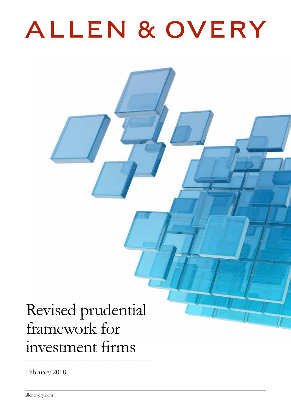### ALLEN & OVERY

### Revised prudential framework for investment firms

February 2018

allenovery.com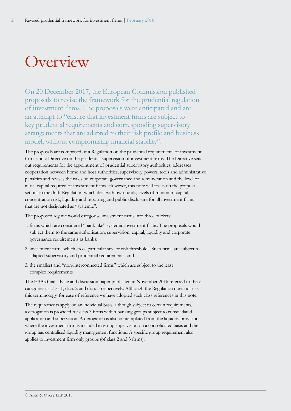### **Overview**

On 20 December 2017, the European Commission published proposals to revise the framework for the prudential regulation of investment firms. The proposals were anticipated and are an attempt to "ensure that investment firms are subject to key prudential requirements and corresponding supervisory arrangements that are adapted to their risk profile and business model, without compromising financial stability".

The proposals are comprised of a Regulation on the prudential requirements of investment firms and a Directive on the prudential supervision of investment firms. The Directive sets out requirements for the appointment of prudential supervisory authorities, addresses cooperation between home and host authorities, supervisory powers, tools and administrative penalties and revises the rules on corporate governance and remuneration and the level of initial capital required of investment firms. However, this note will focus on the proposals set out in the draft Regulation which deal with own funds, levels of minimum capital, concentration risk, liquidity and reporting and public disclosure for all investment firms that are not designated as "systemic".

The proposed regime would categorise investment firms into three buckets:

- 1. firms which are considered "bank-like" systemic investment firms. The proposals would subject them to the same authorisation, supervision, capital, liquidity and corporate governance requirements as banks;
- 2. investment firms which cross particular size or risk thresholds. Such firms are subject to adapted supervisory and prudential requirements; and
- 3. the smallest and "non-interconnected firms" which are subject to the least complex requirements.

The EBA's final advice and discussion paper published in November 2016 referred to these categories as class 1, class 2 and class 3 respectively. Although the Regulation does not use this terminology, for ease of reference we have adopted such class references in this note.

The requirements apply on an individual basis, although subject to certain requirements, a derogation is provided for class 3 firms within banking groups subject to consolidated application and supervision. A derogation is also contemplated from the liquidity provisions where the investment firm is included in group supervision on a consolidated basis and the group has centralised liquidity management functions. A specific group requirement also applies to investment firm only groups (of class 2 and 3 firms).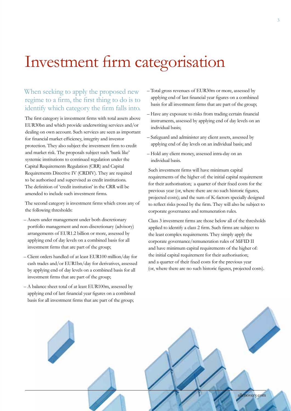### Investment firm categorisation

#### When seeking to apply the proposed new regime to a firm, the first thing to do is to identify which category the firm falls into.

The first category is investment firms with total assets above EUR30bn and which provide underwriting services and/or dealing on own account. Such services are seen as important for financial market efficiency, integrity and investor protection. They also subject the investment firm to credit and market risk. The proposals subject such 'bank like' systemic institutions to continued regulation under the Capital Requirements Regulation (CRR) and Capital Requirements Directive IV (CRDIV). They are required to be authorised and supervised as credit institutions. The definition of 'credit institution' in the CRR will be amended to include such investment firms.

The second category is investment firms which cross any of the following thresholds:

- Assets under management under both discretionary portfolio management and non-discretionary (advisory) arrangements of EUR1.2 billion or more, assessed by applying end of day levels on a combined basis for all investment firms that are part of the group;
- Client orders handled of at least EUR100 million/day for cash trades and/or EUR1bn/day for derivatives, assessed by applying end of day levels on a combined basis for all investment firms that are part of the group;
- A balance sheet total of at least EUR100m, assessed by applying end of last financial year figures on a combined basis for all investment firms that are part of the group;
- Total gross revenues of EUR30m or more, assessed by applying end of last financial year figures on a combined basis for all investment firms that are part of the group;
- Have any exposure to risks from trading certain financial instruments, assessed by applying end of day levels on an individual basis;
- Safeguard and administer any client assets, assessed by applying end of day levels on an individual basis; and
- Hold any client money, assessed intra-day on an individual basis.

Such investment firms will have minimum capital requirements of the higher of: the initial capital requirement for their authorisation; a quarter of their fixed costs for the previous year (or, where there are no such historic figures, projected costs); and the sum of K-factors specially designed to reflect risks posed by the firm. They will also be subject to corporate governance and remuneration rules.

Class 3 investment firms are those below all of the thresholds applied to identify a class 2 firm. Such firms are subject to the least complex requirements. They simply apply the corporate governance/remuneration rules of MiFID II and have minimum capital requirements of the higher of: the initial capital requirement for their authorisation; and a quarter of their fixed costs for the previous year (or, where there are no such historic figures, projected costs).

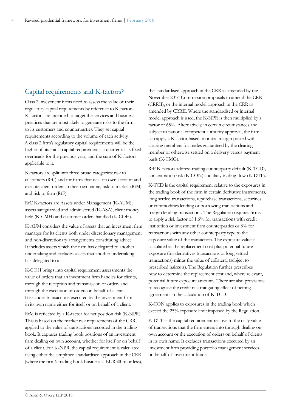#### Capital requirements and K-factors?

Class 2 investment firms need to assess the value of their regulatory capital requirements by reference to K-factors. K-factors are intended to target the services and business practices that are most likely to generate risks to the firm, to its customers and counterparties. They set capital requirements according to the volume of each activity. A class 2 firm's regulatory capital requirements will be the higher of: its initial capital requirements; a quarter of its fixed overheads for the previous year; and the sum of K-factors applicable to it.

K-factors are split into three broad categories: risk to customers (RtC) and for firms that deal on own account and execute client orders in their own name, risk to market (RtM) and risk to firm (RtF).

RtC K-factors are Assets under Management (K-AUM), assets safeguarded and administered (K-ASA), client money held (K-CMH) and customer orders handled (K-COH).

K-AUM considers the value of assets that an investment firm manages for its clients both under discretionary management and non-discretionary arrangements constituting advice. It includes assets which the firm has delegated to another undertaking and excludes assets that another undertaking has delegated to it.

K-COH brings into capital requirement assessments the value of orders that an investment firm handles for clients, through the reception and transmission of orders and through the execution of orders on behalf of clients. It excludes transactions executed by the investment firm in its own name either for itself or on behalf of a client.

RtM is reflected by a K-factor for net position risk (K-NPR). This is based on the market risk requirements of the CRR, applied to the value of transactions recorded in the trading book. It captures trading book positions of an investment firm dealing on own account, whether for itself or on behalf of a client. For K-NPR, the capital requirement is calculated using either the simplified standardised approach in the CRR (where the firm's trading book business is EUR300m or less), the standardised approach in the CRR as amended by the November 2016 Commission proposals to amend the CRR (CRRII), or the internal model approach in the CRR as amended by CRRII. Where the standardised or internal model approach is used, the K-NPR is then multiplied by a factor of 65%. Alternatively, in certain circumstances and subject to national competent authority approval, the firm can apply a K-factor based on initial margin posted with clearing members for trades guaranteed by the clearing member or otherwise settled on a delivery-versus payment basis (K-CMG).

RtF K-factors address trading counterparty default (K-TCD), concentration risk (K-CON) and daily trading flow (K-DTF).

K-TCD is the capital requirement relative to the exposures in the trading book of the firm in certain derivative instruments, long settled transactions, repurchase transactions, securities or commodities lending or borrowing transactions and margin lending transactions. The Regulation requires firms to apply a risk factor of 1.6% for transactions with credit institution or investment firm counterparties or 8% for transactions with any other counterparty type to the exposure value of the transaction. The exposure value is calculated as the replacement cost plus potential future exposure (for derivatives transactions or long settled transactions) minus the value of collateral (subject to prescribed haircuts). The Regulation further prescribes how to determine the replacement cost and, where relevant, potential future exposure amounts. There are also provisions to recognise the credit risk mitigating effect of netting agreements in the calculation of K-TCD.

K-CON applies to exposures in the trading book which exceed the 25% exposure limit imposed by the Regulation.

K-DTF is the capital requirement relative to the daily value of transactions that the firm enters into through dealing on own account or the execution of orders on behalf of clients in its own name. It excludes transactions executed by an investment firm providing portfolio management services on behalf of investment funds.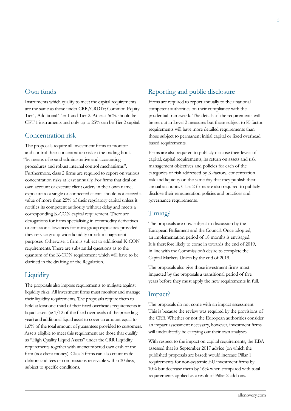#### Own funds

Instruments which qualify to meet the capital requirements are the same as those under CRR/CRDIV; Common Equity Tier1, Additional Tier 1 and Tier 2. At least 56% should be CET 1 instruments and only up to 25% can be Tier 2 capital.

#### Concentration risk

The proposals require all investment firms to monitor and control their concentration risk in the trading book "by means of sound administrative and accounting procedures and robust internal control mechanisms". Furthermore, class 2 firms are required to report on various concentration risks at least annually. For firms that deal on own account or execute client orders in their own name, exposure to a single or connected clients should not exceed a value of more than 25% of their regulatory capital unless it notifies its competent authority without delay and meets a corresponding K-CON capital requirement. There are derogations for firms specialising in commodity derivatives or emission allowances for intra-group exposures provided they service group wide liquidity or risk management purposes. Otherwise, a firm is subject to additional K-CON requirements. There are substantial questions as to the quantum of the K-CON requirement which will have to be clarified in the drafting of the Regulation.

#### **Liquidity**

The proposals also impose requirements to mitigate against liquidity risks. All investment firms must monitor and manage their liquidity requirements. The proposals require them to hold at least one-third of their fixed overheads requirements in liquid assets (ie 1/12 of the fixed overheads of the preceding year) and additional liquid asset to cover an amount equal to 1.6% of the total amount of guarantees provided to customers. Assets eligible to meet this requirement are those that qualify as "High Quality Liquid Assets" under the CRR Liquidity requirements together with unencumbered own cash of the firm (not client money). Class 3 firms can also count trade debtors and fees or commissions receivable within 30 days, subject to specific conditions.

#### Reporting and public disclosure

Firms are required to report annually to their national competent authorities on their compliance with the prudential framework. The details of the requirements will be set out in Level 2 measures but those subject to K-factor requirements will have more detailed requirements than those subject to permanent initial capital or fixed overhead based requirements.

Firms are also required to publicly disclose their levels of capital, capital requirements, its return on assets and risk management objectives and policies for each of the categories of risk addressed by K-factors, concentration risk and liquidity on the same day that they publish their annual accounts. Class 2 firms are also required to publicly disclose their remuneration policies and practices and governance requirements.

#### Timing?

The proposals are now subject to discussion by the European Parliament and the Council. Once adopted, an implementation period of 18 months is envisaged. It is therefore likely to come in towards the end of 2019, in line with the Commission's desire to complete the Capital Markets Union by the end of 2019.

The proposals also give those investment firms most impacted by the proposals a transitional period of five years before they must apply the new requirements in full.

#### Impact?

The proposals do not come with an impact assessment. This is because the review was required by the provisions of the CRR. Whether or not the European authorities consider an impact assessment necessary, however, investment firms will undoubtedly be carrying out their own analyses.

With respect to the impact on capital requirements, the EBA assessed that its September 2017 advice (on which the published proposals are based) would increase Pillar 1 requirements for non-systemic EU investment firms by 10% but decrease them by 16% when compared with total requirements applied as a result of Pillar 2 add-ons.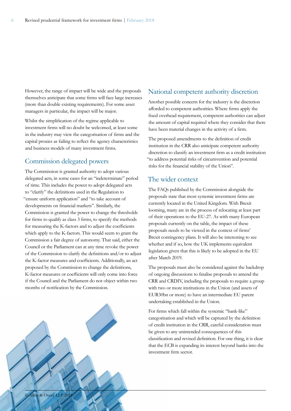However, the range of impact will be wide and the proposals themselves anticipate that some firms will face large increases (more than double existing requirements). For some asset managers in particular, the impact will be major.

Whilst the simplification of the regime applicable to investment firms will no doubt be welcomed, at least some in the industry may view the categorisation of firms and the capital proxies as failing to reflect the agency characteristics and business models of many investment firms.

#### Commission delegated powers

The Commission is granted authority to adopt various delegated acts, in some cases for an "indeterminate" period of time. This includes the power to adopt delegated acts to "clarify" the definitions used in the Regulation to "ensure uniform application" and "to take account of developments on financial markets". Similarly, the Commission is granted the power to change the thresholds for firms to qualify as class 3 firms, to specify the methods for measuring the K-factors and to adjust the coefficients which apply to the K-factors. This would seem to grant the Commission a fair degree of autonomy. That said, either the Council or the Parliament can at any time revoke the power of the Commission to clarify the definitions and/or to adjust the K-factor measures and coefficients. Additionally, an act proposed by the Commission to change the definitions, K-factor measures or coefficients will only come into force if the Council and the Parliament do not object within two months of notification by the Commission.

#### National competent authority discretion

Another possible concern for the industry is the discretion afforded to competent authorities. Where firms apply the fixed overhead requirement, competent authorities can adjust the amount of capital required where they consider that there have been material changes in the activity of a firm.

The proposed amendments to the definition of credit institution in the CRR also anticipate competent authority discretion to classify an investment firm as a credit institution "to address potential risks of circumvention and potential risks for the financial stability of the Union".

#### The wider context

The FAQs published by the Commission alongside the proposals state that most systemic investment firms are currently located in the United Kingdom. With Brexit looming, many are in the process of relocating at least part of their operations to the EU-27. As with many European proposals currently on the table, the impact of these proposals needs to be viewed in the context of firms' Brexit contingency plans. It will also be interesting to see whether and if so, how the UK implements equivalent legislation given that this is likely to be adopted in the EU after March 2019.

The proposals must also be considered against the backdrop of ongoing discussions to finalise proposals to amend the CRR and CRDIV, including the proposals to require a group with two or more institutions in the Union (and assets of EUR30bn or more) to have an intermediate EU parent undertaking established in the Union.

For firms which fall within the systemic "bank-like" categorisation and which will be captured by the definition of credit institution in the CRR, careful consideration must be given to any unintended consequences of this classification and revised definition. For one thing, it is clear that the ECB is expanding its interest beyond banks into the investment firm sector.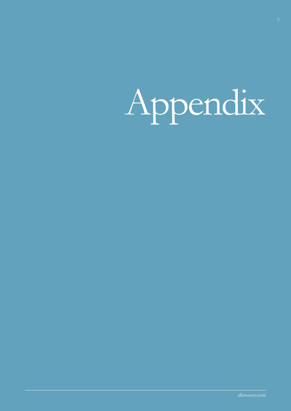# Appendix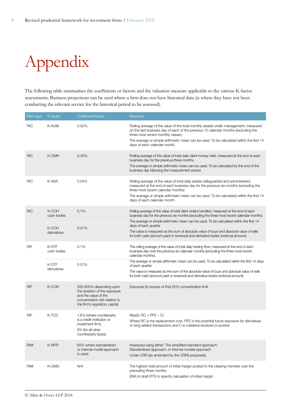### Appendix

The following table summarises the coefficients or factors and the valuation measure applicable to the various K-factor assessments. Business projections can be used where a firm does not have historical data (ie where they have not been conducting the relevant service for the historical period to be assessed).

| <b>Risk type</b> | K-factor             | Coefficient/factor                                                                                                                                  | Measure                                                                                                                                                                                                                                                                                                                                    |  |
|------------------|----------------------|-----------------------------------------------------------------------------------------------------------------------------------------------------|--------------------------------------------------------------------------------------------------------------------------------------------------------------------------------------------------------------------------------------------------------------------------------------------------------------------------------------------|--|
| RtC              | K-AUM                | 0.02%                                                                                                                                               | Rolling average of the value of the total monthly assets under management, measured<br>on the last business day of each of the previous 15 calendar months (excluding the<br>three most recent monthly values).<br>The average or simple arithmetic mean can be used. To be calculated within the first 14<br>days of each calendar month. |  |
| <b>RtC</b>       | K-CMH                | 0.45%                                                                                                                                               | Rolling average of the value of total daily client money held, measured at the end of each<br>business day for the previous three months.<br>The average or simple arithmetic mean can be used. To be calculated by the end of the<br>business day following the measurement period.                                                       |  |
| <b>RtC</b>       | K-ASA                | 0.04%                                                                                                                                               | Rolling average of the value of total daily assets safeguarded and administered,<br>measured at the end of each business day for the previous six months (excluding the<br>three most recent calendar months).<br>The average or simple arithmetic mean can be used. To be calculated within the first 14<br>days of each calendar month.  |  |
| <b>RtC</b>       | K-COH<br>cash trades | 0.1%                                                                                                                                                | Rolling average of the value of total client orders handled, measured at the end of each<br>business day for the previous six months (excluding the three most recent calendar months).<br>The average or simple arithmetic mean can be used. To be calculated within the first 14                                                         |  |
|                  | K-COH<br>derivatives | 0.01%                                                                                                                                               | days of each quarter.<br>The value is measured as the sum of absolute value of buys and absolute value of sells<br>for both cash (amount paid or received) and derivative trades (notional amount).                                                                                                                                        |  |
| RtF              | K-DTF<br>cash trades | 0.1%                                                                                                                                                | The rolling average of the value of total daily trading flow, measured at the end of each<br>business day over the previous six calendar months (excluding the three most recent<br>calendar months).                                                                                                                                      |  |
|                  | K-DTF<br>derivatives | 0.01%                                                                                                                                               | The average or simple arithmetic mean can be used. To be calculated within the first 14 days<br>of each quarter.<br>The value is measures as the sum of the absolute value of buys and absolute value of sells<br>for both cash (amount paid or received) and derivative trades (notional amount).                                         |  |
| <b>RtF</b>       | K-CON                | 200-900% depending upon<br>the duration of the exposure<br>and the value of the<br>concentration risk relative to<br>the firm's regulatory capital. | Exposure [in excess of the] 25% concentration limit.                                                                                                                                                                                                                                                                                       |  |
| RtF              | K-TCD                | 1.6% (where counterparty<br>is a credit institution or<br>investment firm),<br>8% (for all other<br>counterparty types).                            | $Max(0; RC + PFE - C)$<br>Where RC is the replacement cost, PFE is the potential future exposure for derivatives<br>or long settled transactions and C is collateral received or posted.                                                                                                                                                   |  |
| <b>RtM</b>       | K-NPR                | 65% where standardised<br>or internal model approach<br>is used.                                                                                    | Assessed using either: The simplified standard approach;<br>Standardised approach; or Internal models approach<br>Under CRR (as amended by the CRRII proposals).                                                                                                                                                                           |  |
| RtM              | K-CMG                | N/A                                                                                                                                                 | The highest total amount of initial margin posted to the clearing member over the<br>preceding three months.<br>EBA to draft RTS to specify calculation of initial margin.                                                                                                                                                                 |  |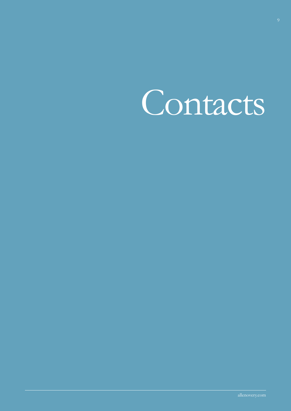## Contacts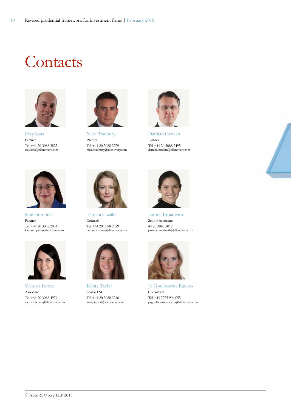### **Contacts**



Etay Katz Partner Tel +44 20 3088 3823 etay.katz@allenovery.com



Kate Sumpter Partner Tel +44 20 3088 2054 kate.sumpter@allenovery.com



Victoria Ferres Associate Tel +44 20 3088 4979 victoria.ferres@allenovery.com



Nick Bradbury Partner Tel +44 20 3088 3279 nick.bradbury@allenovery.com



Tamara Cizeika Counsel Tel +44 20 3088 2329 tamara.cizeika@allenovery.com



Kirsty Taylor Senior PSL Tel +44 20 3088 3246 kirsty.taylor@allenovery.com



Damian Carolan Partner Tel +44 20 3088 2495 damian.carolan@allenovery.com



Joanna Broadwith Senior Associate 44 20 3088 2012 joanna.broadwith@allenovery.com



Jo Goulbourne Ranero Consultant Tel +44 7775 904 055 jo.goulbourne-ranero@allenovery.com

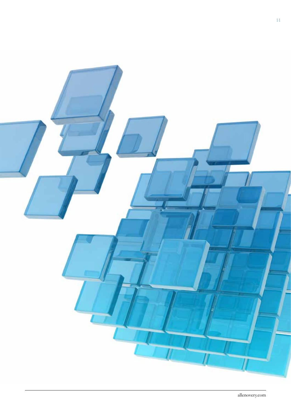